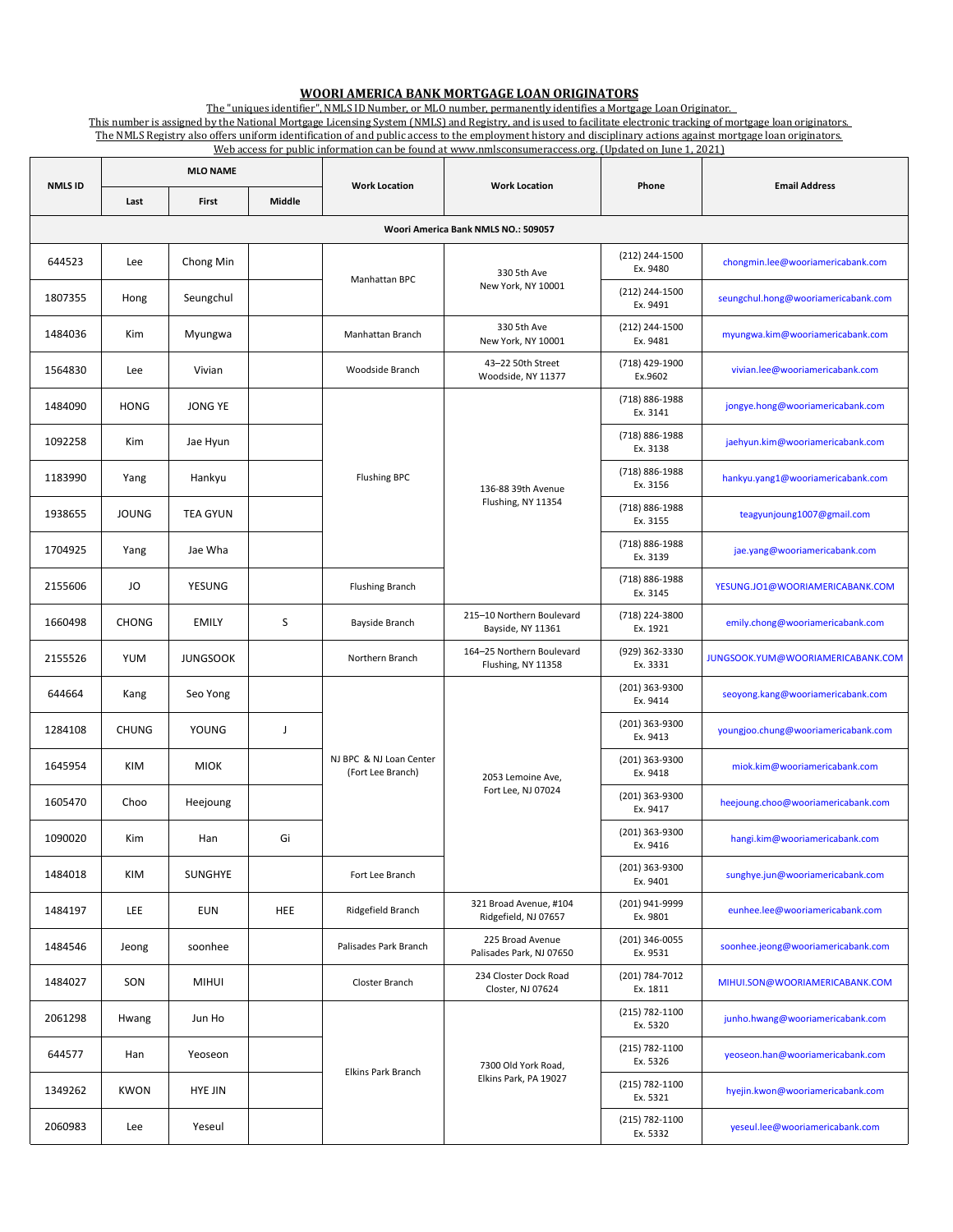## **WOORI AMERICA BANK MORTGAGE LOAN ORIGINATORS**

j The "uniques identifier", NMLS ID Number, or MLO number, permanently identifies a Mortgage Loan Originator.

This number is assigned by the National Mortgage Licensing System (NMLS) and Registry, and is used to facilitate electronic tracking of mortgage loan originators. The NMLS Registry also offers uniform identification of and public access to the employment history and disciplinary actions against mortgage loan originators. Web access for public information can be found at www.nmlsconsumeraccess.org. [Updated on June 1, 2021]

| <b>NMLS ID</b>                      | <b>MLO NAME</b> |                 |             |                                              |                                                 |                            |                                     |  |  |  |  |
|-------------------------------------|-----------------|-----------------|-------------|----------------------------------------------|-------------------------------------------------|----------------------------|-------------------------------------|--|--|--|--|
|                                     | Last            | <b>First</b>    | Middle      | <b>Work Location</b>                         | <b>Work Location</b>                            | Phone                      | <b>Email Address</b>                |  |  |  |  |
| Woori America Bank NMLS NO.: 509057 |                 |                 |             |                                              |                                                 |                            |                                     |  |  |  |  |
| 644523                              | Lee             | Chong Min       |             | Manhattan BPC                                | 330 5th Ave<br>New York, NY 10001               | (212) 244-1500<br>Ex. 9480 | chongmin.lee@wooriamericabank.com   |  |  |  |  |
| 1807355                             | Hong            | Seungchul       |             |                                              |                                                 | (212) 244-1500<br>Ex. 9491 | seungchul.hong@wooriamericabank.com |  |  |  |  |
| 1484036                             | Kim             | Myungwa         |             | Manhattan Branch                             | 330 5th Ave<br>New York, NY 10001               | (212) 244-1500<br>Ex. 9481 | myungwa.kim@wooriamericabank.com    |  |  |  |  |
| 1564830                             | Lee             | Vivian          |             | Woodside Branch                              | 43-22 50th Street<br>Woodside, NY 11377         | (718) 429-1900<br>Ex.9602  | vivian.lee@wooriamericabank.com     |  |  |  |  |
| 1484090                             | <b>HONG</b>     | JONG YE         |             | <b>Flushing BPC</b>                          | 136-88 39th Avenue<br>Flushing, NY 11354        | (718) 886-1988<br>Ex. 3141 | jongye.hong@wooriamericabank.com    |  |  |  |  |
| 1092258                             | Kim             | Jae Hyun        |             |                                              |                                                 | (718) 886-1988<br>Ex. 3138 | jaehyun.kim@wooriamericabank.com    |  |  |  |  |
| 1183990                             | Yang            | Hankyu          |             |                                              |                                                 | (718) 886-1988<br>Ex. 3156 | hankyu.yang1@wooriamericabank.com   |  |  |  |  |
| 1938655                             | <b>JOUNG</b>    | <b>TEA GYUN</b> |             |                                              |                                                 | (718) 886-1988<br>Ex. 3155 | teagyunjoung1007@gmail.com          |  |  |  |  |
| 1704925                             | Yang            | Jae Wha         |             |                                              |                                                 | (718) 886-1988<br>Ex. 3139 | jae.yang@wooriamericabank.com       |  |  |  |  |
| 2155606                             | JO              | YESUNG          |             | <b>Flushing Branch</b>                       |                                                 | (718) 886-1988<br>Ex. 3145 | YESUNG.JO1@WOORIAMERICABANK.COM     |  |  |  |  |
| 1660498                             | <b>CHONG</b>    | <b>EMILY</b>    | S           | Bayside Branch                               | 215-10 Northern Boulevard<br>Bayside, NY 11361  | (718) 224-3800<br>Ex. 1921 | emily.chong@wooriamericabank.com    |  |  |  |  |
| 2155526                             | YUM             | <b>JUNGSOOK</b> |             | Northern Branch                              | 164-25 Northern Boulevard<br>Flushing, NY 11358 | (929) 362-3330<br>Ex. 3331 | JUNGSOOK.YUM@WOORIAMERICABANK.COM   |  |  |  |  |
| 644664                              | Kang            | Seo Yong        |             | NJ BPC & NJ Loan Center<br>(Fort Lee Branch) | 2053 Lemoine Ave.<br>Fort Lee, NJ 07024         | (201) 363-9300<br>Ex. 9414 | seoyong.kang@wooriamericabank.com   |  |  |  |  |
| 1284108                             | <b>CHUNG</b>    | YOUNG           | $\mathsf J$ |                                              |                                                 | (201) 363-9300<br>Ex. 9413 | youngjoo.chung@wooriamericabank.com |  |  |  |  |
| 1645954                             | <b>KIM</b>      | <b>MIOK</b>     |             |                                              |                                                 | (201) 363-9300<br>Ex. 9418 | miok.kim@wooriamericabank.com       |  |  |  |  |
| 1605470                             | Choo            | Heejoung        |             |                                              |                                                 | (201) 363-9300<br>Ex. 9417 | heejoung.choo@wooriamericabank.com  |  |  |  |  |
| 1090020                             | Kim             | Han             | Gi          |                                              |                                                 | (201) 363-9300<br>Ex. 9416 | hangi.kim@wooriamericabank.com      |  |  |  |  |
| 1484018                             | KIM             | SUNGHYE         |             | Fort Lee Branch                              |                                                 | (201) 363-9300<br>Ex. 9401 | sunghye.jun@wooriamericabank.com    |  |  |  |  |
| 1484197                             | <b>LEE</b>      | <b>EUN</b>      | <b>HEE</b>  | Ridgefield Branch                            | 321 Broad Avenue, #104<br>Ridgefield, NJ 07657  | (201) 941-9999<br>Ex. 9801 | eunhee.lee@wooriamericabank.com     |  |  |  |  |
| 1484546                             | Jeong           | soonhee         |             | Palisades Park Branch                        | 225 Broad Avenue<br>Palisades Park, NJ 07650    | (201) 346-0055<br>Ex. 9531 | soonhee.jeong@wooriamericabank.com  |  |  |  |  |
| 1484027                             | SON             | <b>MIHUI</b>    |             | Closter Branch                               | 234 Closter Dock Road<br>Closter, NJ 07624      | (201) 784-7012<br>Ex. 1811 | MIHUI.SON@WOORIAMERICABANK.COM      |  |  |  |  |
| 2061298                             | Hwang           | Jun Ho          |             | Elkins Park Branch                           | 7300 Old York Road,<br>Elkins Park, PA 19027    | (215) 782-1100<br>Ex. 5320 | junho.hwang@wooriamericabank.com    |  |  |  |  |
| 644577                              | Han             | Yeoseon         |             |                                              |                                                 | (215) 782-1100<br>Ex. 5326 | yeoseon.han@wooriamericabank.com    |  |  |  |  |
| 1349262                             | <b>KWON</b>     | <b>HYE JIN</b>  |             |                                              |                                                 | (215) 782-1100<br>Ex. 5321 | hyejin.kwon@wooriamericabank.com    |  |  |  |  |
| 2060983                             | Lee             | Yeseul          |             |                                              |                                                 | (215) 782-1100<br>Ex. 5332 | yeseul.lee@wooriamericabank.com     |  |  |  |  |